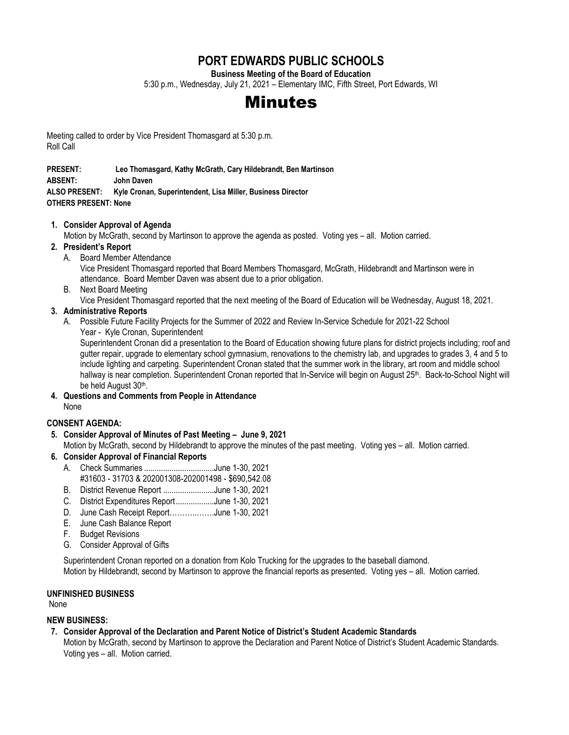# **PORT EDWARDS PUBLIC SCHOOLS**

**Business Meeting of the Board of Education**

5:30 p.m., Wednesday, July 21, 2021 – Elementary IMC, Fifth Street, Port Edwards, WI

# Minutes

Meeting called to order by Vice President Thomasgard at 5:30 p.m. Roll Call

**PRESENT: Leo Thomasgard, Kathy McGrath, Cary Hildebrandt, Ben Martinson** 

**ABSENT: John Daven**

**ALSO PRESENT: Kyle Cronan, Superintendent, Lisa Miller, Business Director OTHERS PRESENT: None**

#### **1. Consider Approval of Agenda**

Motion by McGrath, second by Martinson to approve the agenda as posted. Voting yes – all. Motion carried.

#### **2. President's Report**

- A. Board Member Attendance Vice President Thomasgard reported that Board Members Thomasgard, McGrath, Hildebrandt and Martinson were in attendance. Board Member Daven was absent due to a prior obligation.
- B. Next Board Meeting

Vice President Thomasgard reported that the next meeting of the Board of Education will be Wednesday, August 18, 2021.

#### **3. Administrative Reports**

A. Possible Future Facility Projects for the Summer of 2022 and Review In-Service Schedule for 2021-22 School Year - Kyle Cronan, Superintendent

Superintendent Cronan did a presentation to the Board of Education showing future plans for district projects including; roof and gutter repair, upgrade to elementary school gymnasium, renovations to the chemistry lab, and upgrades to grades 3, 4 and 5 to include lighting and carpeting. Superintendent Cronan stated that the summer work in the library, art room and middle school hallway is near completion. Superintendent Cronan reported that In-Service will begin on August 25<sup>th</sup>. Back-to-School Night will be held August 30<sup>th</sup>.

**4. Questions and Comments from People in Attendance** None

#### **CONSENT AGENDA:**

**5. Consider Approval of Minutes of Past Meeting – June 9, 2021**

Motion by McGrath, second by Hildebrandt to approve the minutes of the past meeting. Voting yes – all. Motion carried.

- **6. Consider Approval of Financial Reports**
	- A. Check Summaries .................................June 1-30, 2021 #31603 - 31703 & 202001308-202001498 - \$690,542.08
	- B. District Revenue Report ........................June 1-30, 2021
	- C. District Expenditures Report..................June 1-30, 2021
	- D. June Cash Receipt Report………..…….June 1-30, 2021
	- E. June Cash Balance Report
	- F. Budget Revisions
	- G. Consider Approval of Gifts

Superintendent Cronan reported on a donation from Kolo Trucking for the upgrades to the baseball diamond. Motion by Hildebrandt, second by Martinson to approve the financial reports as presented. Voting yes – all. Motion carried.

#### **UNFINISHED BUSINESS**

None

#### **NEW BUSINESS:**

**7. Consider Approval of the Declaration and Parent Notice of District's Student Academic Standards**

Motion by McGrath, second by Martinson to approve the Declaration and Parent Notice of District's Student Academic Standards. Voting yes – all. Motion carried.